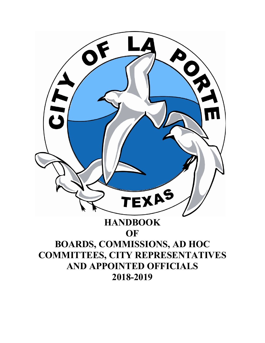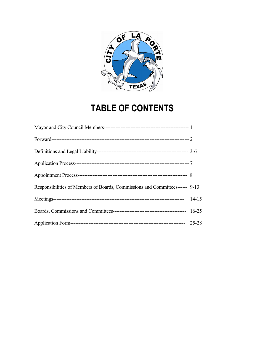

# **TABLE OF CONTENTS**

| Responsibilities of Members of Boards, Commissions and Committees------ 9-13 |  |
|------------------------------------------------------------------------------|--|
|                                                                              |  |
|                                                                              |  |
|                                                                              |  |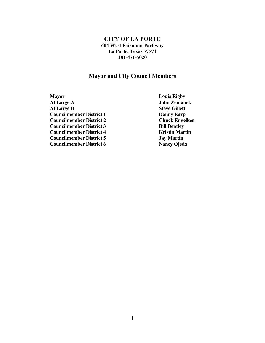#### **CITY OF LA PORTE 604 West Fairmont Parkway La Porte, Texas 77571 281-471-5020**

#### **Mayor and City Council Members**

**Mayor Louis Rigby**<br> **At Large A Company Louis Rigby** At Large B **Councilmember District 1 Danny Earp**<br> **Councilmember District 2 Danny Earp**<br> **Chuck Engelken Councilmember District 2 Councilmember District 3 Bill Bentley Councilmember District 4 Kristin Martin**<br> **Councilmember District 5 Arrows Lay Martin Councilmember District 5**<br> **Councilmember District 6**<br> **Councilmember District 6**<br> **Councilmember District 6**<br> **Councilmember District 6 Councilmember District 6** 

**John Zemanek**<br>Steve Gillett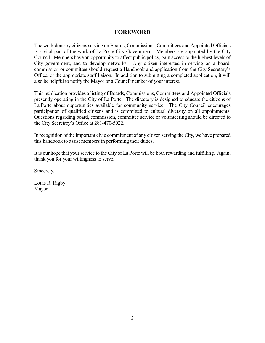#### **FOREWORD**

The work done by citizens serving on Boards, Commissions, Committees and Appointed Officials is a vital part of the work of La Porte City Government. Members are appointed by the City Council. Members have an opportunity to affect public policy, gain access to the highest levels of City government, and to develop networks. Any citizen interested in serving on a board, commission or committee should request a Handbook and application from the City Secretary's Office, or the appropriate staff liaison. In addition to submitting a completed application, it will also be helpful to notify the Mayor or a Councilmember of your interest.

This publication provides a listing of Boards, Commissions, Committees and Appointed Officials presently operating in the City of La Porte. The directory is designed to educate the citizens of La Porte about opportunities available for community service. The City Council encourages participation of qualified citizens and is committed to cultural diversity on all appointments. Questions regarding board, commission, committee service or volunteering should be directed to the City Secretary's Office at 281-470-5022.

In recognition of the important civic commitment of any citizen serving the City, we have prepared this handbook to assist members in performing their duties.

It is our hope that your service to the City of La Porte will be both rewarding and fulfilling. Again, thank you for your willingness to serve.

Sincerely,

Louis R. Rigby Mayor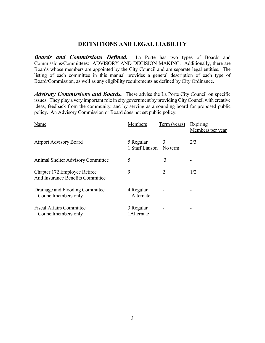#### **DEFINITIONS AND LEGAL LIABILITY**

*Boards and Commissions Defined.* La Porte has two types of Boards and Commissions/Committees: ADVISORY AND DECISION MAKING. Additionally, there are Boards whose members are appointed by the City Council and are separate legal entities. The listing of each committee in this manual provides a general description of each type of Board/Commission, as well as any eligibility requirements as defined by City Ordinance.

*Advisory Commissions and Boards.* These advise the La Porte City Council on specific issues. They play a very important role in city government by providing City Council with creative ideas, feedback from the community, and by serving as a sounding board for proposed public policy. An Advisory Commission or Board does not set public policy.

| Name                                                             | Members                              | Term (years) | Expiring<br>Members per year |
|------------------------------------------------------------------|--------------------------------------|--------------|------------------------------|
| <b>Airport Advisory Board</b>                                    | 5 Regular<br>1 Staff Liaison No term | 3            | 2/3                          |
| <b>Animal Shelter Advisory Committee</b>                         | 5                                    | 3            |                              |
| Chapter 172 Employee Retiree<br>And Insurance Benefits Committee | 9                                    | 2            | 1/2                          |
| Drainage and Flooding Committee<br>Councilmembers only           | 4 Regular<br>1 Alternate             |              |                              |
| <b>Fiscal Affairs Committee</b><br>Councilmembers only           | 3 Regular<br>1 Alternate             |              |                              |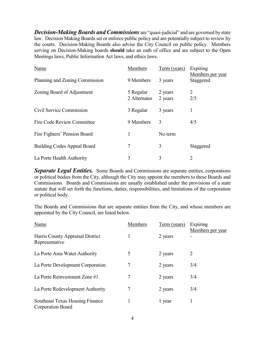*Decision-Making Boards and Commissions* are "quasi-judicial" and are governed by state law. Decision Making Boards set or enforce public policy and are potentially subject to review by the courts. Decision-Making Boards also advise the City Council on public policy. Members serving on Decision-Making boards **should** take an oath of office and are subject to the Open Meetings laws, Public Information Act laws, and ethics laws.

| Name                               | Members                   | Term (years)       | Expiring<br>Members per year |
|------------------------------------|---------------------------|--------------------|------------------------------|
| Planning and Zoning Commission     | 9 Members                 | 3 years            | Staggered                    |
| Zoning Board of Adjustment         | 5 Regular<br>2 Alternates | 2 years<br>2 years | 2<br>2/5                     |
| Civil Service Commission           | 3 Regular                 | 3 years            | 1                            |
| <b>Fire Code Review Committee</b>  | 9 Members                 | 3                  | 4/5                          |
| Fire Fighters' Pension Board       | 1                         | No term            |                              |
| <b>Building Codes Appeal Board</b> | 7                         | 3                  | Staggered                    |
| La Porte Health Authority          | 3                         | 3                  | 2                            |

**Separate Legal Entities.** Some Boards and Commissions are separate entities, corporations or political bodies from the City, although the City may appoint the members to these Boards and Commissions. Boards and Commissions are usually established under the provisions of a state statute that will set forth the functions, duties, responsibilities, and limitations of the corporation or political body.

The Boards and Commissions that are separate entities from the City, and whose members are appointed by the City Council, are listed below.

| Name                                                               | <b>Members</b> | Term (years) | Expiring         |
|--------------------------------------------------------------------|----------------|--------------|------------------|
| Harris County Appraisal District<br>Representative                 |                | 2 years      | Members per year |
| La Porte Area Water Authority                                      | 5              | 2 years      | 2                |
| La Porte Development Corporation                                   | 7              | 2 years      | 3/4              |
| La Porte Reinvestment Zone #1                                      | 7              | 2 years      | 3/4              |
| La Porte Redevelopment Authority                                   | 7              | 2 years      | 3/4              |
| <b>Southeast Texas Housing Finance</b><br><b>Corporation Board</b> |                | 1 year       |                  |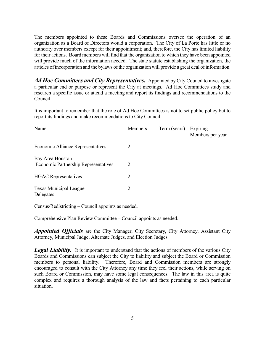The members appointed to these Boards and Commissions oversee the operation of an organization as a Board of Directors would a corporation. The City of La Porte has little or no authority over members except for their appointment; and, therefore, the City has limited liability for their actions. Board members will find that the organization to which they have been appointed will provide much of the information needed. The state statute establishing the organization, the articles of incorporation and the bylaws of the organization will provide a great deal of information.

*Ad Hoc Committees and City Representatives.* Appointed by City Council to investigate a particular end or purpose or represent the City at meetings. Ad Hoc Committees study and research a specific issue or attend a meeting and report its findings and recommendations to the Council.

It is important to remember that the role of Ad Hoc Committees is not to set public policy but to report its findings and make recommendations to City Council.

| Name                                                            | <b>Members</b> | Term (years) | Expiring<br>Members per year |
|-----------------------------------------------------------------|----------------|--------------|------------------------------|
| <b>Economic Alliance Representatives</b>                        | 2              |              |                              |
| Bay Area Houston<br><b>Economic Partnership Representatives</b> | 2              |              |                              |
| <b>HGAC</b> Representatives                                     | 2              |              | -                            |
| Texas Municipal League<br>Delegates                             | $\overline{2}$ |              | -                            |

Census/Redistricting – Council appoints as needed.

Comprehensive Plan Review Committee – Council appoints as needed.

*Appointed Officials* are the City Manager, City Secretary, City Attorney, Assistant City Attorney, Municipal Judge, Alternate Judges, and Election Judges.

**Legal Liability.** It is important to understand that the actions of members of the various City Boards and Commissions can subject the City to liability and subject the Board or Commission members to personal liability. Therefore, Board and Commission members are strongly encouraged to consult with the City Attorney any time they feel their actions, while serving on such Board or Commission, may have some legal consequences. The law in this area is quite complex and requires a thorough analysis of the law and facts pertaining to each particular situation.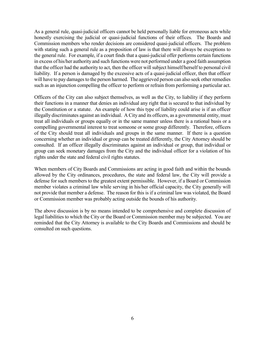As a general rule, quasi-judicial officers cannot be held personally liable for erroneous acts while honestly exercising the judicial or quasi-judicial functions of their offices. The Boards and Commission members who render decisions are considered quasi-judicial officers. The problem with stating such a general rule as a proposition of law is that there will always be exceptions to the general rule. For example, if a court finds that a quasi-judicial offer performs certain functions in excess of his/her authority and such functions were not performed under a good faith assumption that the officer had the authority to act, then the officer will subject himself/herself to personal civil liability. If a person is damaged by the excessive acts of a quasi-judicial officer, then that officer will have to pay damages to the person harmed. The aggrieved person can also seek other remedies such as an injunction compelling the officer to perform or refrain from performing a particular act.

Officers of the City can also subject themselves, as well as the City, to liability if they perform their functions in a manner that denies an individual any right that is secured to that individual by the Constitution or a statute. An example of how this type of liability could arise is if an officer illegally discriminates against an individual. A City and its officers, as a governmental entity, must treat all individuals or groups equally or in the same manner unless there is a rational basis or a compelling governmental interest to treat someone or some group differently. Therefore, officers of the City should treat all individuals and groups in the same manner. If there is a question concerning whether an individual or group can be treated differently, the City Attorney should be consulted. If an officer illegally discriminates against an individual or group, that individual or group can seek monetary damages from the City and the individual officer for a violation of his rights under the state and federal civil rights statutes.

When members of City Boards and Commissions are acting in good faith and within the bounds allowed by the City ordinances, procedures, the state and federal law, the City will provide a defense for such members to the greatest extent permissible. However, if a Board or Commission member violates a criminal law while serving in his/her official capacity, the City generally will not provide that member a defense. The reason for this is if a criminal law was violated, the Board or Commission member was probably acting outside the bounds of his authority.

The above discussion is by no means intended to be comprehensive and complete discussion of legal liabilities to which the City or the Board or Commission member may be subjected. You are reminded that the City Attorney is available to the City Boards and Commissions and should be consulted on such questions.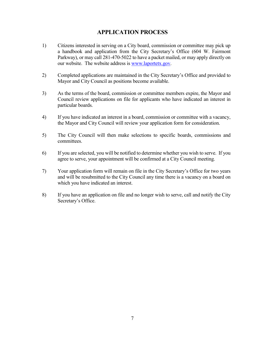# **APPLICATION PROCESS**

- 1) Citizens interested in serving on a City board, commission or committee may pick up a handbook and application from the City Secretary's Office (604 W. Fairmont Parkway), or may call 281-470-5022 to have a packet mailed, or may apply directly on our website. The website address is [www.laportetx.gov.](http://www.laportetx.gov/)
- 2) Completed applications are maintained in the City Secretary's Office and provided to Mayor and City Council as positions become available.
- 3) As the terms of the board, commission or committee members expire, the Mayor and Council review applications on file for applicants who have indicated an interest in particular boards.
- 4) If you have indicated an interest in a board, commission or committee with a vacancy, the Mayor and City Council will review your application form for consideration.
- 5) The City Council will then make selections to specific boards, commissions and committees.
- 6) If you are selected, you will be notified to determine whether you wish to serve. If you agree to serve, your appointment will be confirmed at a City Council meeting.
- 7) Your application form will remain on file in the City Secretary's Office for two years and will be resubmitted to the City Council any time there is a vacancy on a board on which you have indicated an interest.
- 8) If you have an application on file and no longer wish to serve, call and notify the City Secretary's Office.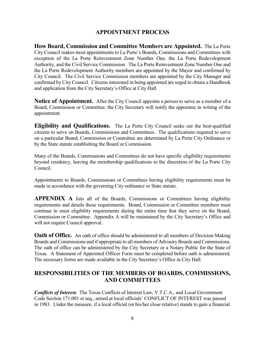### **APPOINTMENT PROCESS**

**How Board, Commission and Committee Members are Appointed.** The La Porte City Council makes most appointments to La Porte's Boards, Commissions and Committees with exception of the La Porte Reinvestment Zone Number One, the La Porte Redevelopment Authority, and the Civil Service Commission. The La Porte Reinvestment Zone Number One and the La Porte Redevelopment Authority members are appointed by the Mayor and confirmed by City Council. The Civil Service Commission members are appointed by the City Manager and confirmed by City Council. Citizens interested in being appointed are urged to obtain a Handbook and application from the City Secretary's Office at City Hall.

**Notice of Appointment.** After the City Council appoints a person to serve as a member of a Board, Commission or Committee, the City Secretary will notify the appointee in writing of the appointment.

**Eligibility and Qualifications.** The La Porte City Council seeks out the best-qualified citizens to serve on Boards, Commissions and Committees. The qualifications required to serve on a particular Board, Commission or Committee are determined by La Porte City Ordinance or by the State statute establishing the Board or Commission.

Many of the Boards, Commissions and Committees do not have specific eligibility requirements beyond residency, leaving the membership qualifications to the discretion of the La Porte City Council.

Appointments to Boards, Commissions or Committees having eligibility requirements must be made in accordance with the governing City ordinance or State statute.

**APPENDIX A** lists all of the Boards, Commissions or Committees having eligibility requirements and details those requirements. Board, Commission or Committee members must continue to meet eligibility requirements during the entire time that they serve on the Board, Commission or Committee. Appendix A will be maintained by the City Secretary's Office and will not require Council approval.

**Oath of Office.** An oath of office should be administered to all members of Decision-Making Boards and Commissions and if appropriate to all members of Advisory Boards and Commissions. The oath of office can be administered by the City Secretary or a Notary Public for the State of Texas. A Statement of Appointed Officer Form must be completed before oath is administered. The necessary forms are made available in the City Secretary's Office in City Hall.

# **RESPONSIBILITIES OF THE MEMBERS OF BOARDS, COMMISSIONS, AND COMMITTEES**

*Conflicts of Interest.* The Texas Conflicts of Interest Law, V.T.C.A., and Local Government Code Section 171.001 et seq., aimed at local officials' CONFLICT OF INTEREST was passed in 1983. Under the measure, if a local official (or his/her close relative) stands to gain a financial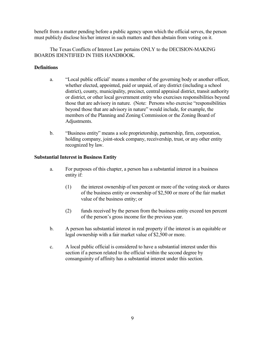benefit from a matter pending before a public agency upon which the official serves, the person must publicly disclose his/her interest in such matters and then abstain from voting on it.

The Texas Conflicts of Interest Law pertains ONLY to the DECISION-MAKING BOARDS IDENTIFIED IN THIS HANDBOOK.

#### **Definitions**

- a. "Local public official' means a member of the governing body or another officer, whether elected, appointed, paid or unpaid, of any district (including a school district), county, municipality, precinct, central appraisal district, transit authority or district, or other local government entity who exercises responsibilities beyond those that are advisory in nature. (Note: Persons who exercise "responsibilities beyond those that are advisory in nature" would include, for example, the members of the Planning and Zoning Commission or the Zoning Board of Adjustments.
- b. "Business entity" means a sole proprietorship, partnership, firm, corporation, holding company, joint-stock company, receivership, trust, or any other entity recognized by law.

#### **Substantial Interest in Business Entity**

- a. For purposes of this chapter, a person has a substantial interest in a business entity if:
	- (1) the interest ownership of ten percent or more of the voting stock or shares of the business entity or ownership of \$2,500 or more of the fair market value of the business entity; or
	- (2) funds received by the person from the business entity exceed ten percent of the person's gross income for the previous year.
- b. A person has substantial interest in real property if the interest is an equitable or legal ownership with a fair market value of \$2,500 or more.
- c. A local public official is considered to have a substantial interest under this section if a person related to the official within the second degree by consanguinity of affinity has a substantial interest under this section.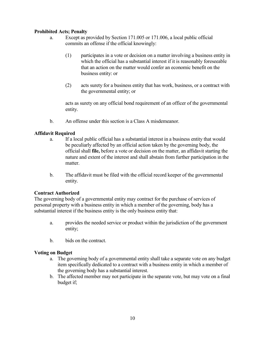#### **Prohibited Acts; Penalty**

- a. Except as provided by Section 171.005 or 171.006, a local public official commits an offense if the official knowingly:
	- (1) participates in a vote or decision on a matter involving a business entity in which the official has a substantial interest if it is reasonably foreseeable that an action on the matter would confer an economic benefit on the business entity: or
	- (2) acts surety for a business entity that has work, business, or a contract with the governmental entity; or

acts as surety on any official bond requirement of an officer of the governmental entity.

b. An offense under this section is a Class A misdemeanor.

#### **Affidavit Required**

- a. If a local public official has a substantial interest in a business entity that would be peculiarly affected by an official action taken by the governing body, the official shall **file,** before a vote or decision on the matter, an affidavit starting the nature and extent of the interest and shall abstain from further participation in the matter.
- b. The affidavit must be filed with the official record keeper of the governmental entity.

#### **Contract Authorized**

The governing body of a governmental entity may contract for the purchase of services of personal property with a business entity in which a member of the governing, body has a substantial interest if the business entity is the only business entity that:

- a. provides the needed service or product within the jurisdiction of the government entity;
- b. bids on the contract.

#### **Voting on Budget**

- a. The governing body of a governmental entity shall take a separate vote on any budget item specifically dedicated to a contract with a business entity in which a member of the governing body has a substantial interest.
- b. The affected member may not participate in the separate vote, but may vote on a final budget if;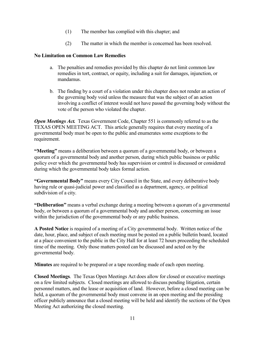- (1) The member has complied with this chapter; and
- (2) The matter in which the member is concerned has been resolved.

#### **No Limitation on Common Law Remedies**

- a. The penalties and remedies provided by this chapter do not limit common law remedies in tort, contract, or equity, including a suit for damages, injunction, or mandamus.
- b. The finding by a court of a violation under this chapter does not render an action of the governing body void unless the measure that was the subject of an action involving a conflict of interest would not have passed the governing body without the vote of the person who violated the chapter.

**Open Meetings Act.** Texas Government Code, Chapter 551 is commonly referred to as the TEXAS OPEN MEETING ACT. This article generally requires that every meeting of a governmental body must be open to the public and enumerates some exceptions to the requirement.

**"Meeting"** means a deliberation between a quorum of a governmental body, or between a quorum of a governmental body and another person, during which public business or public policy over which the governmental body has supervision or control is discussed or considered during which the governmental body takes formal action.

**"Governmental Body"** means every City Council in the State, and every deliberative body having rule or quasi-judicial power and classified as a department, agency, or political subdivision of a city.

**"Deliberation"** means a verbal exchange during a meeting between a quorum of a governmental body, or between a quorum of a governmental body and another person, concerning an issue within the jurisdiction of the governmental body or any public business.

**A Posted Notice** is required of a meeting of a City governmental body. Written notice of the date, hour, place, and subject of each meeting must be posted on a public bulletin board, located at a place convenient to the public in the City Hall for at least 72 hours proceeding the scheduled time of the meeting. Only those matters posted can be discussed and acted on by the governmental body.

**Minutes** are required to be prepared or a tape recording made of each open meeting.

**Closed Meetings**. The Texas Open Meetings Act does allow for closed or executive meetings on a few limited subjects. Closed meetings are allowed to discuss pending litigation, certain personnel matters, and the lease or acquisition of land. However, before a closed meeting can be held, a quorum of the governmental body must convene in an open meeting and the presiding officer publicly announce that a closed meeting will be held and identify the sections of the Open Meeting Act authorizing the closed meeting.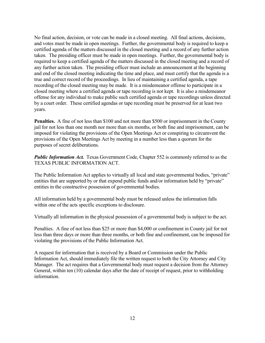No final action, decision, or vote can be made in a closed meeting. All final actions, decisions, and votes must be made in open meetings. Further, the governmental body is required to keep a certified agenda of the matters discussed in the closed meeting and a record of any further action taken. The presiding officer must be made in open meetings. Further, the governmental body is required to keep a certified agenda of the matters discussed in the closed meeting and a record of any further action taken. The presiding officer must include an announcement at the beginning and end of the closed meeting indicating the time and place, and must certify that the agenda is a true and correct record of the proceedings. In lieu of maintaining a certified agenda, a tape recording of the closed meeting may be made. It is a misdemeanor offense to participate in a closed meeting where a certified agenda or tape recording is not kept. It is also a misdemeanor offense for any individual to make public such certified agenda or tape recordings unless directed by a court order. These certified agendas or tape recording must be preserved for at least two years.

**Penalties.** A fine of not less than \$100 and not more than \$500 or imprisonment in the County jail for not less than one month nor more than six months, or both fine and imprisonment, can be imposed for violating the provisions of the Open Meetings Act or conspiring to circumvent the provisions of the Open Meetings Act by meeting in a number less than a quorum for the purposes of secret deliberations.

**Public Information Act.** Texas Government Code, Chapter 552 is commonly referred to as the TEXAS PUBLIC INFORMATION ACT.

The Public Information Act applies to virtually all local and state governmental bodies, "private" entities that are supported by or that expend public funds and/or information held by "private" entities in the constructive possession of governmental bodies.

All information held by a governmental body must be released unless the information falls within one of the acts specific exceptions to disclosure.

Virtually all information in the physical possession of a governmental body is subject to the act.

Penalties. A fine of not less than \$25 or more than \$4,000 or confinement in County jail for not less than three days or more than three months, or both fine and confinement, can be imposed for violating the provisions of the Public Information Act.

A request for information that is received by a Board or Commission under the Public Information Act, should immediately file the written request to both the City Attorney and City Manager. The act requires that a Governmental body must request a decision from the Attorney General, within ten (10) calendar days after the date of receipt of request, prior to withholding information.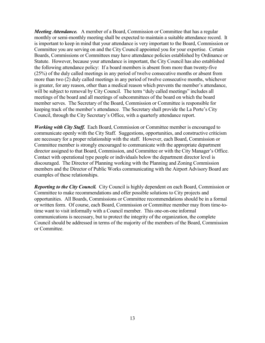*Meeting Attendance.* A member of a Board, Commission or Committee that has a regular monthly or semi-monthly meeting shall be expected to maintain a suitable attendance record. It is important to keep in mind that your attendance is very important to the Board, Commission or Committee you are serving on and the City Council appointed you for your expertise. Certain Boards, Commissions or Committees may have attendance policies established by Ordinance or Statute. However, because your attendance is important, the City Council has also established the following attendance policy: If a board members is absent from more than twenty-five (25%) of the duly called meetings in any period of twelve consecutive months or absent from more than two (2) duly called meetings in any period of twelve consecutive months, whichever is greater, for any reason, other than a medical reason which prevents the member's attendance, will be subject to removal by City Council. The term "duly called meetings" includes all meetings of the board and all meetings of subcommittees of the board on which the board member serves. The Secretary of the Board, Commission or Committee is responsible for keeping track of the member's attendance. The Secretary shall provide the La Porte's City Council, through the City Secretary's Office, with a quarterly attendance report.

*Working with City Staff.* Each Board, Commission or Committee member is encouraged to communicate openly with the City Staff. Suggestions, opportunities, and constructive criticism are necessary for a proper relationship with the staff. However, each Board, Commission or Committee member is strongly encouraged to communicate with the appropriate department director assigned to that Board, Commission, and Committee or with the City Manager's Office. Contact with operational type people or individuals below the department director level is discouraged. The Director of Planning working with the Planning and Zoning Commission members and the Director of Public Works communicating with the Airport Advisory Board are examples of these relationships.

*Reporting to the City Council.* City Council is highly dependent on each Board, Commission or Committee to make recommendations and offer possible solutions to City projects and opportunities. All Boards, Commissions or Committee recommendations should be in a formal or written form. Of course, each Board, Commission or Committee member may from time-totime want to visit informally with a Council member. This one-on-one informal communications is necessary, but to protect the integrity of the organization, the complete Council should be addressed in terms of the majority of the members of the Board, Commission or Committee.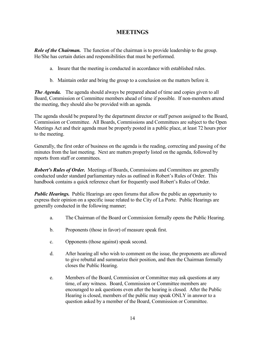### **MEETINGS**

*Role of the Chairman.* The function of the chairman is to provide leadership to the group. He/She has certain duties and responsibilities that must be performed.

- a. Insure that the meeting is conducted in accordance with established rules.
- b. Maintain order and bring the group to a conclusion on the matters before it.

*The Agenda.* The agenda should always be prepared ahead of time and copies given to all Board, Commission or Committee members ahead of time if possible. If non-members attend the meeting, they should also be provided with an agenda.

The agenda should be prepared by the department director or staff person assigned to the Board, Commission or Committee. All Boards, Commissions and Committees are subject to the Open Meetings Act and their agenda must be properly posted in a public place, at least 72 hours prior to the meeting.

Generally, the first order of business on the agenda is the reading, correcting and passing of the minutes from the last meeting. Next are matters properly listed on the agenda, followed by reports from staff or committees.

*Robert's Rules of Order.* Meetings of Boards, Commissions and Committees are generally conducted under standard parliamentary rules as outlined in Robert's Rules of Order. This handbook contains a quick reference chart for frequently used Robert's Rules of Order.

*Public Hearings.* Public Hearings are open forums that allow the public an opportunity to express their opinion on a specific issue related to the City of La Porte. Public Hearings are generally conducted in the following manner;

- a. The Chairman of the Board or Commission formally opens the Public Hearing.
- b. Proponents (those in favor) of measure speak first.
- c. Opponents (those against) speak second.
- d. After hearing all who wish to comment on the issue, the proponents are allowed to give rebuttal and summarize their position, and then the Chairman formally closes the Public Hearing.
- e. Members of the Board, Commission or Committee may ask questions at any time, of any witness. Board, Commission or Committee members are encouraged to ask questions even after the hearing is closed. After the Public Hearing is closed, members of the public may speak ONLY in answer to a question asked by a member of the Board, Commission or Committee.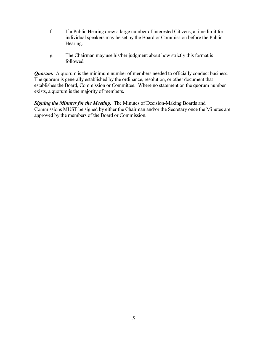- f. If a Public Hearing drew a large number of interested Citizens, a time limit for individual speakers may be set by the Board or Commission before the Public Hearing.
- g. The Chairman may use his/her judgment about how strictly this format is followed.

*Quorum.* A quorum is the minimum number of members needed to officially conduct business. The quorum is generally established by the ordinance, resolution, or other document that establishes the Board, Commission or Committee. Where no statement on the quorum number exists, a quorum is the majority of members.

*Signing the Minutes for the Meeting.* The Minutes of Decision-Making Boards and Commissions MUST be signed by either the Chairman and/or the Secretary once the Minutes are approved by the members of the Board or Commission.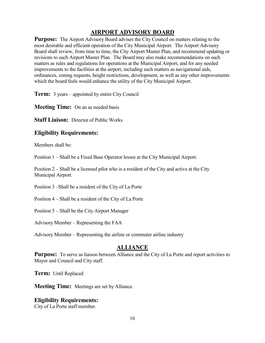# **AIRPORT ADVISORY BOARD**

**Purpose:** The Airport Advisory Board advises the City Council on matters relating to the most desirable and efficient operation of the City Municipal Airport. The Airport Advisory Board shall review, from time to time, the City Airport Master Plan, and recommend updating or revisions to such Airport Master Plan. The Board may also make recommendations on such matters as rules and regulations for operations at the Municipal Airport, and for any needed improvements to the facilities at the airport, including such matters as navigational aids, ordinances, zoning requests, height restrictions, development, as well as any other improvements which the board feels would enhance the utility of the City Municipal Airport.

**Term:** 3 years – appointed by entire City Council

**Meeting Time:** On an as needed basis

**Staff Liaison:** Director of Public Works

#### **Eligibility Requirements:**

Members shall be:

Position 1 – Shall be a Fixed Base Operator lessee at the City Municipal Airport.

Position 2 – Shall be a licensed pilot who is a resident of the City and active at the City Municipal Airport.

Position 3 –Shall be a resident of the City of La Porte

Position 4 – Shall be a resident of the City of La Porte

Position 5 – Shall be the City Airport Manager

Advisory Member – Representing the FAA

Advisory Member – Representing the airline or commuter airline industry

### **ALLIANCE**

**Purpose:** To serve as liaison between Alliance and the City of La Porte and report activities to Mayor and Council and City staff.

**Term:** Until Replaced

**Meeting Time:** Meetings are set by Alliance.

#### **Eligibility Requirements:**

City of La Porte staff member.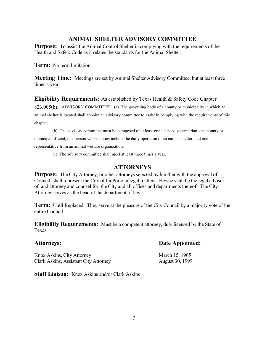# **ANIMAL SHELTER ADVISORY COMMITTEE**

**Purpose:** To assist the Animal Control Shelter in complying with the requirements of the Health and Safety Code as it relates the standards for the Animal Shelter.

**Term:** No term limitation

**Meeting Time:** Meetings are set by Animal Shelter Advisory Committee, but at least three times a year.

**Eligibility Requirements:** As established by Texas Health & Safety Code Chapter 823.005(b). ADVISORY COMMITTEE. (a) The governing body of a county or municipality in which an animal shelter is located shall appoint an advisory committee to assist in complying with the requirements of this chapter.

(b) The advisory committee must be composed of at least one licensed veterinarian, one county or municipal official, one person whose duties include the daily operation of an animal shelter, and one representative from an animal welfare organization.

(c) The advisory committee shall meet at least three times a year.

# **ATTORNEYS**

**Purpose:** The City Attorney, or other attorneys selected by him/her with the approval of Council, shall represent the City of La Porte in legal matters. He/she shall be the legal advisor of, and attorney and counsel for, the City and all offices and departments thereof. The City Attorney serves as the head of the department of law.

**Term:** Until Replaced. They serve at the pleasure of the City Council by a majority vote of the entire Council.

**Eligibility Requirements:** Must be a competent attorney, duly licensed by the State of Texas.

Knox Askins, City Attorney March 15, 1965 Clark Askins, Assistant City Attorney August 30, 1999

**Staff Liaison:** Knox Askins and/or Clark Askins

### **Attorneys: Date Appointed:**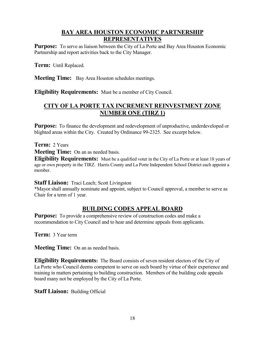# **BAY AREA HOUSTON ECONOMIC PARTNERSHIP REPRESENTATIVES**

**Purpose:** To serve as liaison between the City of La Porte and Bay Area Houston Economic Partnership and report activities back to the City Manager.

**Term:** Until Replaced.

**Meeting Time:** Bay Area Houston schedules meetings.

**Eligibility Requirements:** Must be a member of City Council.

# **CITY OF LA PORTE TAX INCREMENT REINVESTMENT ZONE NUMBER ONE (TIRZ 1)**

**Purpose:** To finance the development and redevelopment of unproductive, underdeveloped or blighted areas within the City. Created by Ordinance 99-2325. See excerpt below.

**Term:** 2 Years

**Meeting Time:** On an as needed basis.

**Eligibility Requirements:** Must be a qualified voter in the City of La Porte or at least 18 years of age or own property in the TIRZ. Harris County and La Porte Independent School District each appoint a member.

**Staff Liaison:** Traci Leach; Scott Livingston

\*Mayor shall annually nominate and appoint, subject to Council approval, a member to serve as Chair for a term of 1 year.

# **BUILDING CODES APPEAL BOARD**

**Purpose:** To provide a comprehensive review of construction codes and make a recommendation to City Council and to hear and determine appeals from applicants.

**Term:** 3 Year term

**Meeting Time:** On an as needed basis.

**Eligibility Requirements:** The Board consists of seven resident electors of the City of La Porte who Council deems competent to serve on such board by virtue of their experience and training in matters pertaining to building construction. Members of the building code appeals board many not be employed by the City of La Porte.

**Staff Liaison:** Building Official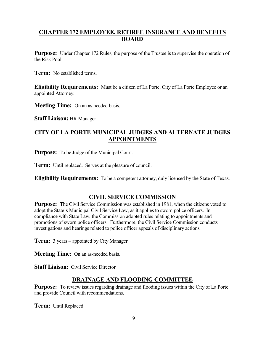# **CHAPTER 172 EMPLOYEE, RETIREE INSURANCE AND BENEFITS BOARD**

**Purpose:** Under Chapter 172 Rules, the purpose of the Trustee is to supervise the operation of the Risk Pool.

**Term:** No established terms.

**Eligibility Requirements:** Must be a citizen of La Porte, City of La Porte Employee or an appointed Attorney.

**Meeting Time:** On an as needed basis.

**Staff Liaison:** HR Manager

# **CITY OF LA PORTE MUNICIPAL JUDGES AND ALTERNATE JUDGES APPOINTMENTS**

**Purpose:** To be Judge of the Municipal Court.

**Term:** Until replaced. Serves at the pleasure of council.

**Eligibility Requirements:** To be a competent attorney, duly licensed by the State of Texas.

### **CIVIL SERVICE COMMISSION**

**Purpose:** The Civil Service Commission was established in 1981, when the citizens voted to adopt the State's Municipal Civil Service Law, as it applies to sworn police officers. In compliance with State Law, the Commission adopted rules relating to appointments and promotions of sworn police officers. Furthermore, the Civil Service Commission conducts investigations and hearings related to police officer appeals of disciplinary actions.

**Term:** 3 years – appointed by City Manager

**Meeting Time:** On an as-needed basis.

**Staff Liaison:** Civil Service Director

#### **DRAINAGE AND FLOODING COMMITTEE**

**Purpose:** To review issues regarding drainage and flooding issues within the City of La Porte and provide Council with recommendations.

**Term:** Until Replaced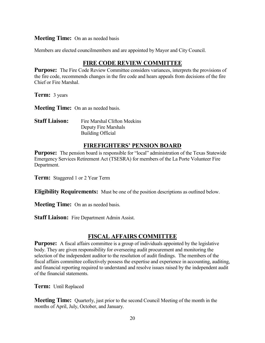#### **Meeting Time:** On an as needed basis

Members are elected councilmembers and are appointed by Mayor and City Council.

# **FIRE CODE REVIEW COMMITTEE**

**Purpose:** The Fire Code Review Committee considers variances, interprets the provisions of the fire code, recommends changes in the fire code and hears appeals from decisions of the fire Chief or Fire Marshal.

**Term:** 3 years

**Meeting Time:** On an as needed basis.

| <b>Staff Liaison:</b> | Fire Marshal Clifton Meekins |
|-----------------------|------------------------------|
|                       | Deputy Fire Marshals         |
|                       | Building Official            |

#### **FIREFIGHTERS' PENSION BOARD**

**Purpose:** The pension board is responsible for "local" administration of the Texas Statewide Emergency Services Retirement Act (TSESRA) for members of the La Porte Volunteer Fire Department.

**Term:** Staggered 1 or 2 Year Term

**Eligibility Requirements:** Must be one of the position descriptions as outlined below.

**Meeting Time:** On an as needed basis.

**Staff Liaison:** Fire Department Admin Assist.

### **FISCAL AFFAIRS COMMITTEE**

**Purpose:** A fiscal affairs committee is a group of individuals appointed by the legislative body. They are given responsibility for overseeing audit procurement and monitoring the selection of the independent auditor to the resolution of audit findings. The members of the fiscal affairs committee collectively possess the expertise and experience in accounting, auditing, and financial reporting required to understand and resolve issues raised by the independent audit of the financial statements.

**Term:** Until Replaced

**Meeting Time:** Quarterly, just prior to the second Council Meeting of the month in the months of April, July, October, and January.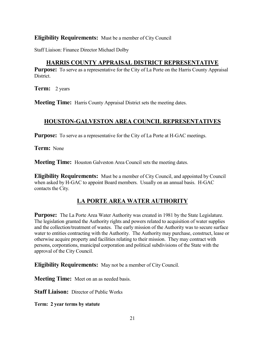#### **Eligibility Requirements:** Must be a member of City Council

Staff Liaison: Finance Director Michael Dolby

# **HARRIS COUNTY APPRAISAL DISTRICT REPRESENTATIVE**

**Purpose:** To serve as a representative for the City of La Porte on the Harris County Appraisal District.

**Term:** 2 years

**Meeting Time:** Harris County Appraisal District sets the meeting dates.

### **HOUSTON-GALVESTON AREA COUNCIL REPRESENTATIVES**

**Purpose:** To serve as a representative for the City of La Porte at H-GAC meetings.

**Term:** None

**Meeting Time:** Houston Galveston Area Council sets the meeting dates.

**Eligibility Requirements:** Must be a member of City Council, and appointed by Council when asked by H-GAC to appoint Board members. Usually on an annual basis. H-GAC contacts the City.

# **LA PORTE AREA WATER AUTHORITY**

**Purpose:** The La Porte Area Water Authority was created in 1981 by the State Legislature. The legislation granted the Authority rights and powers related to acquisition of water supplies and the collection/treatment of wastes. The early mission of the Authority was to secure surface water to entities contracting with the Authority. The Authority may purchase, construct, lease or otherwise acquire property and facilities relating to their mission. They may contract with persons, corporations, municipal corporation and political subdivisions of the State with the approval of the City Council.

**Eligibility Requirements:** May not be a member of City Council.

**Meeting Time:** Meet on an as needed basis.

**Staff Liaison:** Director of Public Works

**Term: 2 year terms by statute**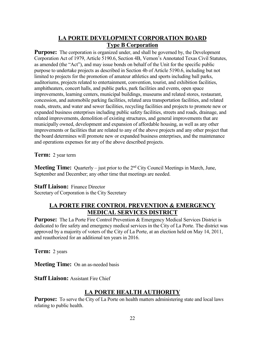# **LA PORTE DEVELOPMENT CORPORATION BOARD Type B Corporation**

**Purpose:** The corporation is organized under, and shall be governed by, the Development Corporation Act of 1979, Article 5190.6, Section 4B, Vernon's Annotated Texas Civil Statutes, as amended (the "Act"), and may issue bonds on behalf of the Unit for the specific public purpose to undertake projects as described in Section 4b of Article 5190.6, including but not limited to projects for the promotion of amateur athletics and sports including ball parks, auditoriums, projects related to entertainment, convention, tourist, and exhibition facilities, amphitheaters, concert halls, and public parks, park facilities and events, open space improvements, learning centers, municipal buildings, museums and related stores, restaurant, concession, and automobile parking facilities, related area transportation facilities, and related roads, streets, and water and sewer facilities, recycling facilities and projects to promote new or expanded business enterprises including public safety facilities, streets and roads, drainage, and related improvements, demolition of existing structures, and general improvements that are municipally owned, development and expansion of affordable housing, as well as any other improvements or facilities that are related to any of the above projects and any other project that the board determines will promote new or expanded business enterprises, and the maintenance and operations expenses for any of the above described projects.

**Term:** 2 year term

**Meeting Time:** Quarterly – just prior to the 2<sup>nd</sup> City Council Meetings in March, June, September and December; any other time that meetings are needed.

#### **Staff Liaison: Finance Director**

Secretary of Corporation is the City Secretary

### **LA PORTE FIRE CONTROL PREVENTION & EMERGENCY MEDICAL SERVICES DISTRICT**

**Purpose:** The La Porte Fire Control Prevention & Emergency Medical Services District is dedicated to fire safety and emergency medical services in the City of La Porte. The district was approved by a majority of voters of the City of La Porte, at an election held on May 14, 2011, and reauthorized for an additional ten years in 2016.

**Term:** 2 years

**Meeting Time:** On an as-needed basis

**Staff Liaison:** Assistant Fire Chief

# **LA PORTE HEALTH AUTHORITY**

**Purpose:** To serve the City of La Porte on health matters administering state and local laws relating to public health.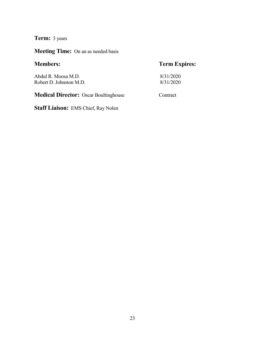**Term:** 3 years

**Meeting Time:** On an as needed basis

# **Members: Term Expires:** Abdul R. Moosa M.D. 8/31/2020<br>Robert D. Johnston M.D. 8/31/2020 Robert D. Johnston M.D. **Medical Director:** Oscar Boultinghouse Contract

**Staff Liaison:** EMS Chief, Ray Nolen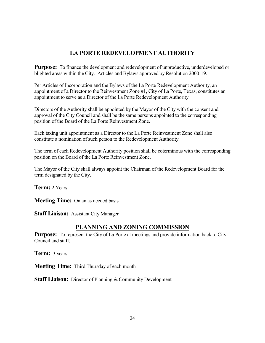# **LA PORTE REDEVELOPMENT AUTHORITY**

**Purpose:** To finance the development and redevelopment of unproductive, underdeveloped or blighted areas within the City. Articles and Bylaws approved by Resolution 2000-19.

Per Articles of Incorporation and the Bylaws of the La Porte Redevelopment Authority, an appointment of a Director to the Reinvestment Zone #1, City of La Porte, Texas, constitutes an appointment to serve as a Director of the La Porte Redevelopment Authority.

Directors of the Authority shall be appointed by the Mayor of the City with the consent and approval of the City Council and shall be the same persons appointed to the corresponding position of the Board of the La Porte Reinvestment Zone.

Each taxing unit appointment as a Director to the La Porte Reinvestment Zone shall also constitute a nomination of such person to the Redevelopment Authority.

The term of each Redevelopment Authority position shall be coterminous with the corresponding position on the Board of the La Porte Reinvestment Zone.

The Mayor of the City shall always appoint the Chairman of the Redevelopment Board for the term designated by the City.

**Term:** 2 Years

**Meeting Time:** On an as needed basis

**Staff Liaison:** Assistant City Manager

# **PLANNING AND ZONING COMMISSION**

Purpose: To represent the City of La Porte at meetings and provide information back to City Council and staff.

**Term:** 3 years

**Meeting Time:** Third Thursday of each month

**Staff Liaison:** Director of Planning & Community Development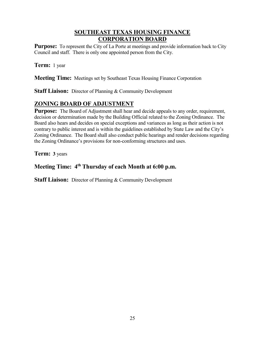# **SOUTHEAST TEXAS HOUSING FINANCE CORPORATION BOARD**

**Purpose:** To represent the City of La Porte at meetings and provide information back to City Council and staff. There is only one appointed person from the City.

**Term:** 1 year

**Meeting Time:** Meetings set by Southeast Texas Housing Finance Corporation

**Staff Liaison:** Director of Planning & Community Development

# **ZONING BOARD OF ADJUSTMENT**

**Purpose:** The Board of Adjustment shall hear and decide appeals to any order, requirement, decision or determination made by the Building Official related to the Zoning Ordinance. The Board also hears and decides on special exceptions and variances as long as their action is not contrary to public interest and is within the guidelines established by State Law and the City's Zoning Ordinance. The Board shall also conduct public hearings and render decisions regarding the Zoning Ordinance's provisions for non-conforming structures and uses.

**Term: 3** years

# **Meeting Time: 4th Thursday of each Month at 6:00 p.m.**

**Staff Liaison:** Director of Planning & Community Development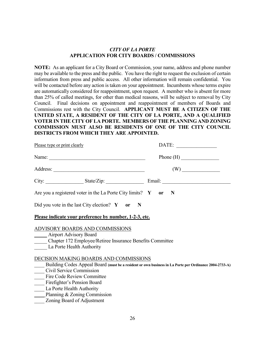#### *CITY OF LA PORTE* **APPLICATION FOR CITY BOARDS / COMMISSIONS**

**NOTE:** As an applicant for a City Board or Commission, your name, address and phone number may be available to the press and the public. You have the right to request the exclusion of certain information from press and public access. All other information will remain confidential. You will be contacted before any action is taken on your appointment. Incumbents whose terms expire are automatically considered for reappointment, upon request. A member who is absent for more than 25% of called meetings, for other than medical reasons, will be subject to removal by City Council. Final decisions on appointment and reappointment of members of Boards and Commissions rest with the City Council. **APPLICANT MUST BE A CITIZEN OF THE UNITED STATE, A RESIDENT OF THE CITY OF LA PORTE, AND A QUALIFIED VOTER IN THE CITY OF LA PORTE. MEMBERS OF THE PLANNING AND ZONING COMMISSION MUST ALSO BE RESIDENTS OF ONE OF THE CITY COUNCIL DISTRICTS FROM WHICH THEY ARE APPOINTED.**

| Please type or print clearly                                                                                                                                                                                                                                                       | DATE:       |
|------------------------------------------------------------------------------------------------------------------------------------------------------------------------------------------------------------------------------------------------------------------------------------|-------------|
|                                                                                                                                                                                                                                                                                    | Phone $(H)$ |
|                                                                                                                                                                                                                                                                                    | (W)         |
|                                                                                                                                                                                                                                                                                    |             |
| Are you a registered voter in the La Porte City limits? $Y$ or N                                                                                                                                                                                                                   |             |
| Did you vote in the last City election? $Y$ or N                                                                                                                                                                                                                                   |             |
| Please indicate your preference by number, 1-2-3, etc.                                                                                                                                                                                                                             |             |
| <b>ADVISORY BOARDS AND COMMISSIONS</b><br>____ Airport Advisory Board<br>Chapter 172 Employee/Retiree Insurance Benefits Committee<br>La Porte Health Authority                                                                                                                    |             |
| DECISION MAKING BOARDS AND COMMISSIONS<br>Building Codes Appeal Board (must be a resident or own business in La Porte per Ordinance 2004-2733-A)<br>Civil Service Commission<br>Fire Code Review Committee<br>Firefighter's Pension Board<br>La Porte Health Authority<br>Planning |             |
|                                                                                                                                                                                                                                                                                    |             |
|                                                                                                                                                                                                                                                                                    |             |

\_\_\_\_ Zoning Board of Adjustment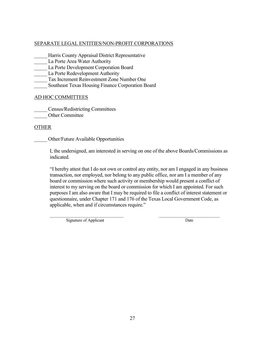#### SEPARATE LEGAL ENTITIES/NON-PROFIT CORPORATIONS

- Harris County Appraisal District Representative
- La Porte Area Water Authority
- La Porte Development Corporation Board
- La Porte Redevelopment Authority
- Tax Increment Reinvestment Zone Number One
- Southeast Texas Housing Finance Corporation Board

#### AD HOC COMMITTEES

\_\_\_\_\_ Census/Redistricting Committees

Other Committee

#### OTHER

\_\_\_\_\_ Other/Future Available Opportunities

I, the undersigned, am interested in serving on one of the above Boards/Commissions as indicated.

"I hereby attest that I do not own or control any entity, nor am I engaged in any business transaction, nor employed, nor belong to any public office, nor am I a member of any board or commission where such activity or membership would present a conflict of interest to my serving on the board or commission for which I am appointed. For such purposes I am also aware that I may be required to file a conflict of interest statement or questionnaire, under Chapter 171 and 176 of the Texas Local Government Code, as applicable, when and if circumstances require."

 $\overline{\phantom{a}}$  , and the contribution of the contribution of the contribution of the contribution of the contribution of the contribution of the contribution of the contribution of the contribution of the contribution of the

Signature of Applicant Date